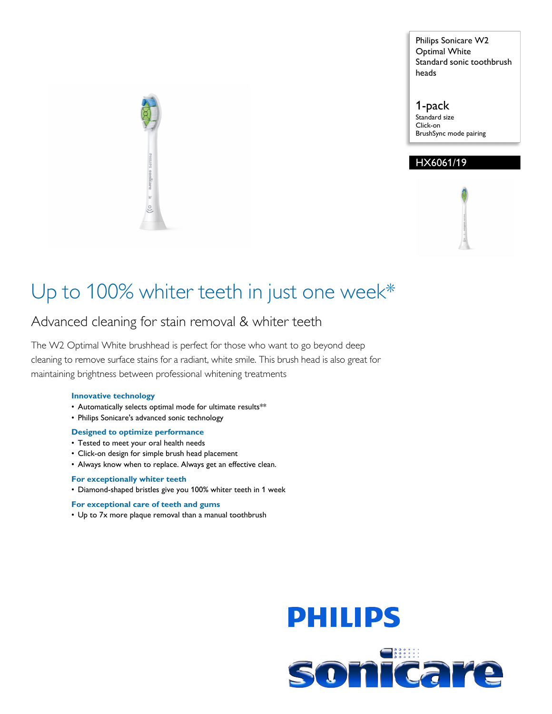Philips Sonicare W2 Optimal White Standard sonic toothbrush heads

1-pack Standard size Click-on BrushSync mode pairing

# HX6061/19

# Up to 100% whiter teeth in just one week\*

# Advanced cleaning for stain removal & whiter teeth

The W2 Optimal White brushhead is perfect for those who want to go beyond deep cleaning to remove surface stains for a radiant, white smile. This brush head is also great for maintaining brightness between professional whitening treatments

## **Innovative technology**

- Automatically selects optimal mode for ultimate results\*\*
- Philips Sonicare's advanced sonic technology

#### **Designed to optimize performance**

- Tested to meet your oral health needs
- Click-on design for simple brush head placement
- Always know when to replace. Always get an effective clean.

### **For exceptionally whiter teeth**

• Diamond-shaped bristles give you 100% whiter teeth in 1 week

#### **For exceptional care of teeth and gums**

• Up to 7x more plaque removal than a manual toothbrush



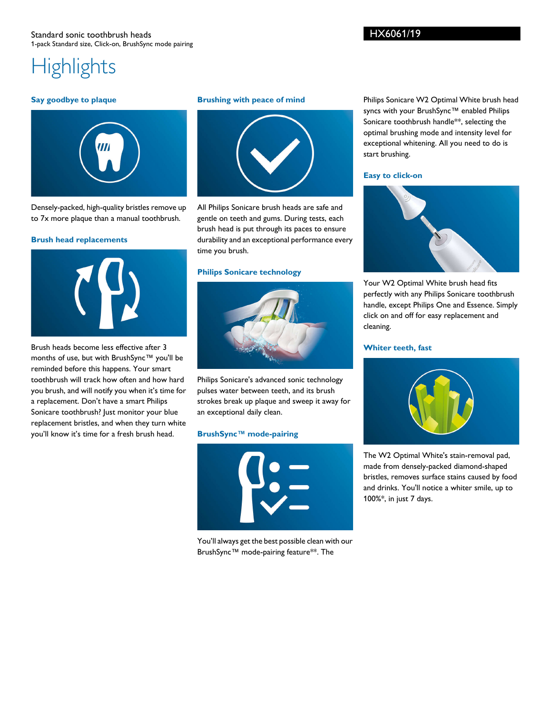# **Highlights**

#### **Say goodbye to plaque**



Densely-packed, high-quality bristles remove up to 7x more plaque than a manual toothbrush.

#### **Brush head replacements**



Brush heads become less effective after 3 months of use, but with BrushSync™ you'll be reminded before this happens. Your smart toothbrush will track how often and how hard you brush, and will notify you when it's time for a replacement. Don't have a smart Philips Sonicare toothbrush? Just monitor your blue replacement bristles, and when they turn white you'll know it's time for a fresh brush head.

#### **Brushing with peace of mind**



All Philips Sonicare brush heads are safe and gentle on teeth and gums. During tests, each brush head is put through its paces to ensure durability and an exceptional performance every time you brush.

#### **Philips Sonicare technology**



Philips Sonicare's advanced sonic technology pulses water between teeth, and its brush strokes break up plaque and sweep it away for an exceptional daily clean.

#### **BrushSync™ mode-pairing**



You'll always get the best possible clean with our BrushSync™ mode-pairing feature\*\*. The

Philips Sonicare W2 Optimal White brush head syncs with your BrushSync™ enabled Philips Sonicare toothbrush handle\*\*, selecting the optimal brushing mode and intensity level for exceptional whitening. All you need to do is start brushing.

#### **Easy to click-on**



Your W2 Optimal White brush head fits perfectly with any Philips Sonicare toothbrush handle, except Philips One and Essence. Simply click on and off for easy replacement and cleaning.

#### **Whiter teeth, fast**



The W2 Optimal White's stain-removal pad, made from densely-packed diamond-shaped bristles, removes surface stains caused by food and drinks. You'll notice a whiter smile, up to 100%\*, in just 7 days.